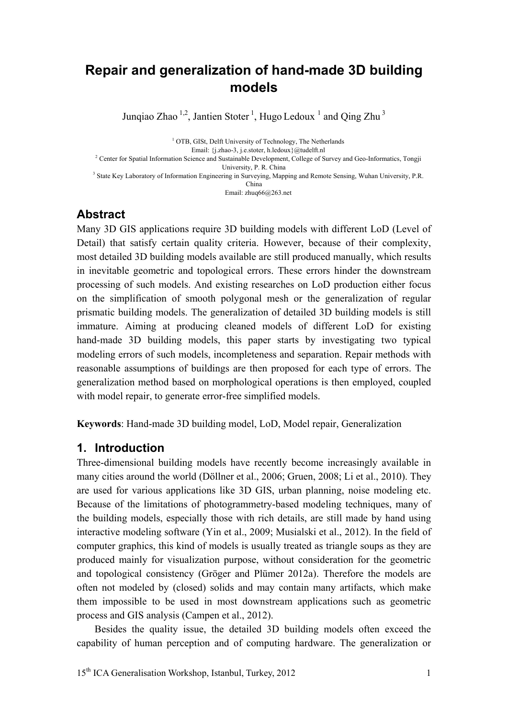# **Repair and generalization of hand-made 3D building models**

Junqiao Zhao  $^{1,2}$ , Jantien Stoter <sup>1</sup>, Hugo Ledoux <sup>1</sup> and Qing Zhu<sup>3</sup>

<sup>1</sup> OTB, GISt, Delft University of Technology, The Netherlands Email: {j.zhao-3, j.e.stoter, h.ledoux}@tudelft.nl<br><sup>2</sup> Center for Spatial Information Science and Sustainable Development, College of Survey and Geo-Informatics, Tongji University, P. R. China<br><sup>3</sup> State Key Laboratory of Information Engineering in Surveying, Mapping and Remote Sensing, Wuhan University, P.R. China Email: zhuq66@263.net

## **Abstract**

Many 3D GIS applications require 3D building models with different LoD (Level of Detail) that satisfy certain quality criteria. However, because of their complexity, most detailed 3D building models available are still produced manually, which results in inevitable geometric and topological errors. These errors hinder the downstream processing of such models. And existing researches on LoD production either focus on the simplification of smooth polygonal mesh or the generalization of regular prismatic building models. The generalization of detailed 3D building models is still immature. Aiming at producing cleaned models of different LoD for existing hand-made 3D building models, this paper starts by investigating two typical modeling errors of such models, incompleteness and separation. Repair methods with reasonable assumptions of buildings are then proposed for each type of errors. The generalization method based on morphological operations is then employed, coupled with model repair, to generate error-free simplified models.

**Keywords**: Hand-made 3D building model, LoD, Model repair, Generalization

## **1. Introduction**

Three-dimensional building models have recently become increasingly available in many cities around the world (Döllner et al., 2006; Gruen, 2008; Li et al., 2010). They are used for various applications like 3D GIS, urban planning, noise modeling etc. Because of the limitations of photogrammetry-based modeling techniques, many of the building models, especially those with rich details, are still made by hand using interactive modeling software (Yin et al., 2009; Musialski et al., 2012). In the field of computer graphics, this kind of models is usually treated as triangle soups as they are produced mainly for visualization purpose, without consideration for the geometric and topological consistency (Gröger and Plümer 2012a). Therefore the models are often not modeled by (closed) solids and may contain many artifacts, which make them impossible to be used in most downstream applications such as geometric process and GIS analysis (Campen et al., 2012).

 Besides the quality issue, the detailed 3D building models often exceed the capability of human perception and of computing hardware. The generalization or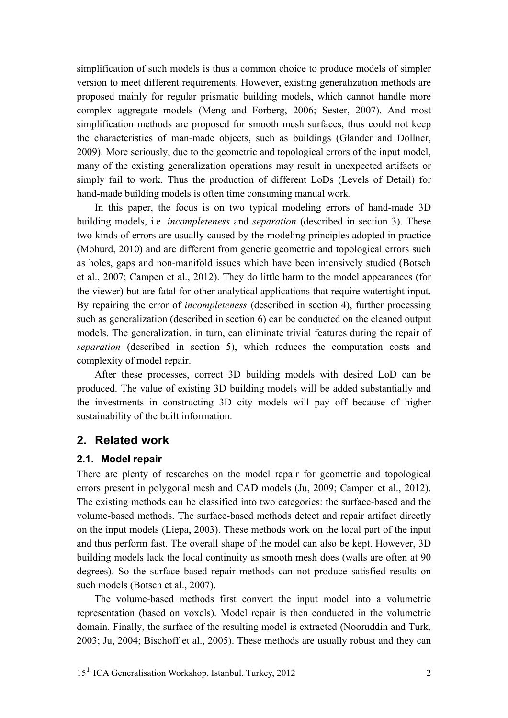simplification of such models is thus a common choice to produce models of simpler version to meet different requirements. However, existing generalization methods are proposed mainly for regular prismatic building models, which cannot handle more complex aggregate models (Meng and Forberg, 2006; Sester, 2007). And most simplification methods are proposed for smooth mesh surfaces, thus could not keep the characteristics of man-made objects, such as buildings (Glander and Döllner, 2009). More seriously, due to the geometric and topological errors of the input model, many of the existing generalization operations may result in unexpected artifacts or simply fail to work. Thus the production of different LoDs (Levels of Detail) for hand-made building models is often time consuming manual work.

 In this paper, the focus is on two typical modeling errors of hand-made 3D building models, i.e. *incompleteness* and *separation* (described in section 3). These two kinds of errors are usually caused by the modeling principles adopted in practice (Mohurd, 2010) and are different from generic geometric and topological errors such as holes, gaps and non-manifold issues which have been intensively studied (Botsch et al., 2007; Campen et al., 2012). They do little harm to the model appearances (for the viewer) but are fatal for other analytical applications that require watertight input. By repairing the error of *incompleteness* (described in section 4), further processing such as generalization (described in section 6) can be conducted on the cleaned output models. The generalization, in turn, can eliminate trivial features during the repair of *separation* (described in section 5), which reduces the computation costs and complexity of model repair.

 After these processes, correct 3D building models with desired LoD can be produced. The value of existing 3D building models will be added substantially and the investments in constructing 3D city models will pay off because of higher sustainability of the built information.

#### **2. Related work**

#### **2.1. Model repair**

There are plenty of researches on the model repair for geometric and topological errors present in polygonal mesh and CAD models (Ju, 2009; Campen et al., 2012). The existing methods can be classified into two categories: the surface-based and the volume-based methods. The surface-based methods detect and repair artifact directly on the input models (Liepa, 2003). These methods work on the local part of the input and thus perform fast. The overall shape of the model can also be kept. However, 3D building models lack the local continuity as smooth mesh does (walls are often at 90 degrees). So the surface based repair methods can not produce satisfied results on such models (Botsch et al., 2007).

 The volume-based methods first convert the input model into a volumetric representation (based on voxels). Model repair is then conducted in the volumetric domain. Finally, the surface of the resulting model is extracted (Nooruddin and Turk, 2003; Ju, 2004; Bischoff et al., 2005). These methods are usually robust and they can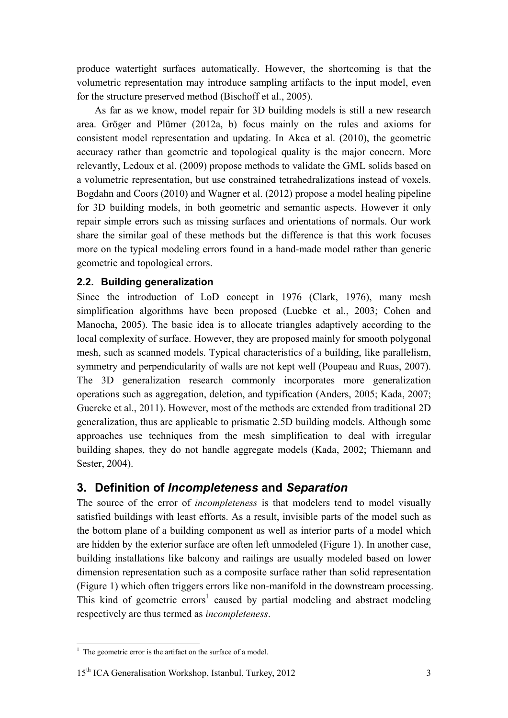produce watertight surfaces automatically. However, the shortcoming is that the volumetric representation may introduce sampling artifacts to the input model, even for the structure preserved method (Bischoff et al., 2005).

 As far as we know, model repair for 3D building models is still a new research area. Gröger and Plümer (2012a, b) focus mainly on the rules and axioms for consistent model representation and updating. In Akca et al. (2010), the geometric accuracy rather than geometric and topological quality is the major concern. More relevantly, Ledoux et al. (2009) propose methods to validate the GML solids based on a volumetric representation, but use constrained tetrahedralizations instead of voxels. Bogdahn and Coors (2010) and Wagner et al. (2012) propose a model healing pipeline for 3D building models, in both geometric and semantic aspects. However it only repair simple errors such as missing surfaces and orientations of normals. Our work share the similar goal of these methods but the difference is that this work focuses more on the typical modeling errors found in a hand-made model rather than generic geometric and topological errors.

## **2.2. Building generalization**

Since the introduction of LoD concept in 1976 (Clark, 1976), many mesh simplification algorithms have been proposed (Luebke et al., 2003; Cohen and Manocha, 2005). The basic idea is to allocate triangles adaptively according to the local complexity of surface. However, they are proposed mainly for smooth polygonal mesh, such as scanned models. Typical characteristics of a building, like parallelism, symmetry and perpendicularity of walls are not kept well (Poupeau and Ruas, 2007). The 3D generalization research commonly incorporates more generalization operations such as aggregation, deletion, and typification (Anders, 2005; Kada, 2007; Guercke et al., 2011). However, most of the methods are extended from traditional 2D generalization, thus are applicable to prismatic 2.5D building models. Although some approaches use techniques from the mesh simplification to deal with irregular building shapes, they do not handle aggregate models (Kada, 2002; Thiemann and Sester, 2004).

## **3. Definition of** *Incompleteness* **and** *Separation*

The source of the error of *incompleteness* is that modelers tend to model visually satisfied buildings with least efforts. As a result, invisible parts of the model such as the bottom plane of a building component as well as interior parts of a model which are hidden by the exterior surface are often left unmodeled (Figure 1). In another case, building installations like balcony and railings are usually modeled based on lower dimension representation such as a composite surface rather than solid representation (Figure 1) which often triggers errors like non-manifold in the downstream processing. This kind of geometric errors<sup>1</sup> caused by partial modeling and abstract modeling respectively are thus termed as *incompleteness*.

#### 15<sup>th</sup> ICA Generalisation Workshop, Istanbul, Turkey, 2012 3

<sup>&</sup>lt;sup>1</sup> The geometric error is the artifact on the surface of a model.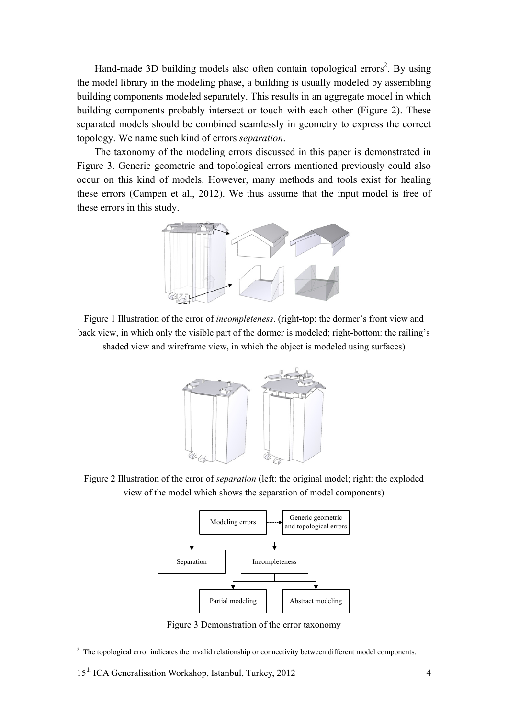Hand-made 3D building models also often contain topological errors<sup>2</sup>. By using the model library in the modeling phase, a building is usually modeled by assembling building components modeled separately. This results in an aggregate model in which building components probably intersect or touch with each other (Figure 2). These separated models should be combined seamlessly in geometry to express the correct topology. We name such kind of errors *separation*.

 The taxonomy of the modeling errors discussed in this paper is demonstrated in Figure 3. Generic geometric and topological errors mentioned previously could also occur on this kind of models. However, many methods and tools exist for healing these errors (Campen et al., 2012). We thus assume that the input model is free of these errors in this study.



Figure 1 Illustration of the error of *incompleteness*. (right-top: the dormer's front view and back view, in which only the visible part of the dormer is modeled; right-bottom: the railing's shaded view and wireframe view, in which the object is modeled using surfaces)



Figure 2 Illustration of the error of *separation* (left: the original model; right: the exploded view of the model which shows the separation of model components)



Figure 3 Demonstration of the error taxonomy

<sup>&</sup>lt;sup>2</sup> The topological error indicates the invalid relationship or connectivity between different model components.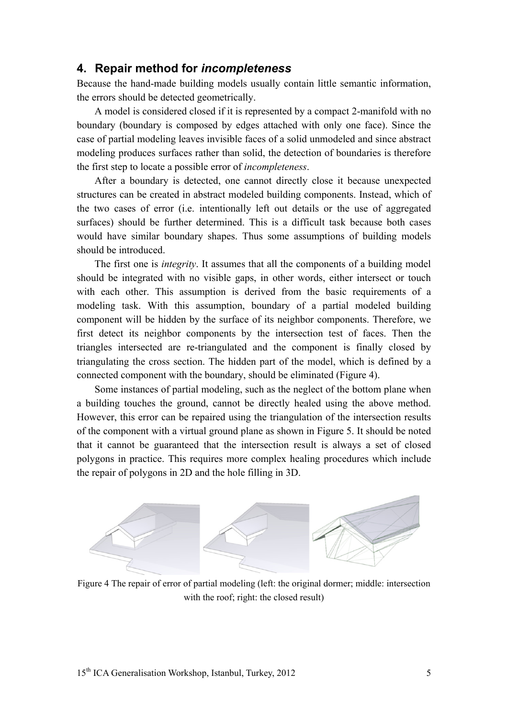#### **4. Repair method for** *incompleteness*

Because the hand-made building models usually contain little semantic information, the errors should be detected geometrically.

 A model is considered closed if it is represented by a compact 2-manifold with no boundary (boundary is composed by edges attached with only one face). Since the case of partial modeling leaves invisible faces of a solid unmodeled and since abstract modeling produces surfaces rather than solid, the detection of boundaries is therefore the first step to locate a possible error of *incompleteness*.

 After a boundary is detected, one cannot directly close it because unexpected structures can be created in abstract modeled building components. Instead, which of the two cases of error (i.e. intentionally left out details or the use of aggregated surfaces) should be further determined. This is a difficult task because both cases would have similar boundary shapes. Thus some assumptions of building models should be introduced.

 The first one is *integrity*. It assumes that all the components of a building model should be integrated with no visible gaps, in other words, either intersect or touch with each other. This assumption is derived from the basic requirements of a modeling task. With this assumption, boundary of a partial modeled building component will be hidden by the surface of its neighbor components. Therefore, we first detect its neighbor components by the intersection test of faces. Then the triangles intersected are re-triangulated and the component is finally closed by triangulating the cross section. The hidden part of the model, which is defined by a connected component with the boundary, should be eliminated (Figure 4).

 Some instances of partial modeling, such as the neglect of the bottom plane when a building touches the ground, cannot be directly healed using the above method. However, this error can be repaired using the triangulation of the intersection results of the component with a virtual ground plane as shown in Figure 5. It should be noted that it cannot be guaranteed that the intersection result is always a set of closed polygons in practice. This requires more complex healing procedures which include the repair of polygons in 2D and the hole filling in 3D.



Figure 4 The repair of error of partial modeling (left: the original dormer; middle: intersection with the roof; right: the closed result)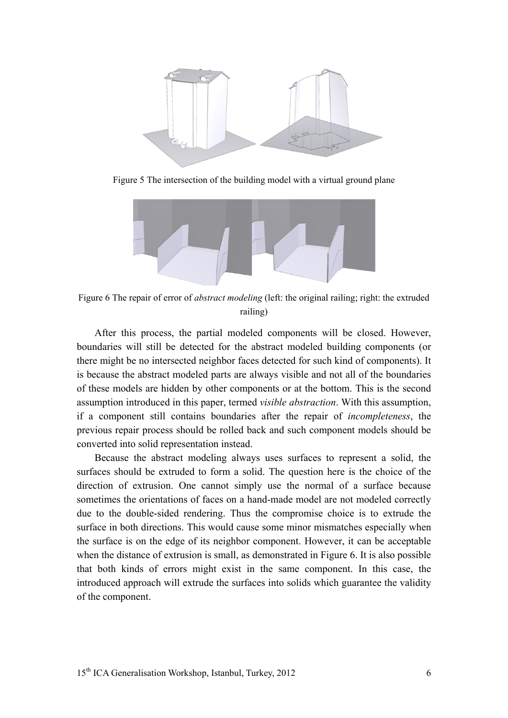

Figure 5 The intersection of the building model with a virtual ground plane



Figure 6 The repair of error of *abstract modeling* (left: the original railing; right: the extruded railing)

 After this process, the partial modeled components will be closed. However, boundaries will still be detected for the abstract modeled building components (or there might be no intersected neighbor faces detected for such kind of components). It is because the abstract modeled parts are always visible and not all of the boundaries of these models are hidden by other components or at the bottom. This is the second assumption introduced in this paper, termed *visible abstraction*. With this assumption, if a component still contains boundaries after the repair of *incompleteness*, the previous repair process should be rolled back and such component models should be converted into solid representation instead.

 Because the abstract modeling always uses surfaces to represent a solid, the surfaces should be extruded to form a solid. The question here is the choice of the direction of extrusion. One cannot simply use the normal of a surface because sometimes the orientations of faces on a hand-made model are not modeled correctly due to the double-sided rendering. Thus the compromise choice is to extrude the surface in both directions. This would cause some minor mismatches especially when the surface is on the edge of its neighbor component. However, it can be acceptable when the distance of extrusion is small, as demonstrated in Figure 6. It is also possible that both kinds of errors might exist in the same component. In this case, the introduced approach will extrude the surfaces into solids which guarantee the validity of the component.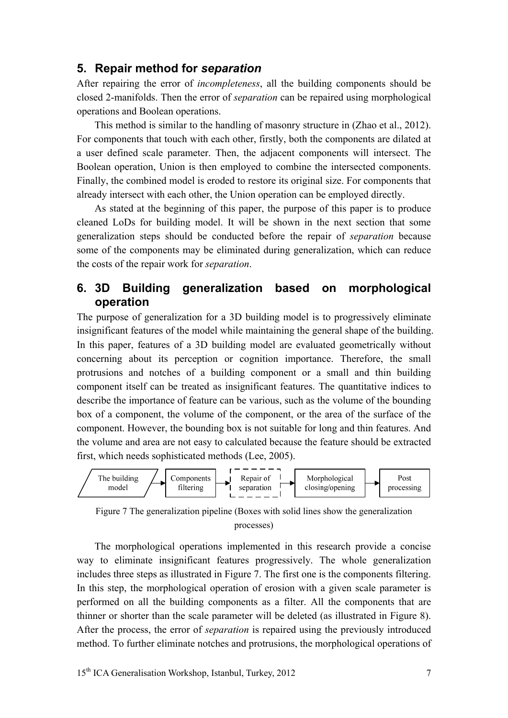#### **5. Repair method for** *separation*

After repairing the error of *incompleteness*, all the building components should be closed 2-manifolds. Then the error of *separation* can be repaired using morphological operations and Boolean operations.

 This method is similar to the handling of masonry structure in (Zhao et al., 2012). For components that touch with each other, firstly, both the components are dilated at a user defined scale parameter. Then, the adjacent components will intersect. The Boolean operation, Union is then employed to combine the intersected components. Finally, the combined model is eroded to restore its original size. For components that already intersect with each other, the Union operation can be employed directly.

 As stated at the beginning of this paper, the purpose of this paper is to produce cleaned LoDs for building model. It will be shown in the next section that some generalization steps should be conducted before the repair of *separation* because some of the components may be eliminated during generalization, which can reduce the costs of the repair work for *separation*.

## **6. 3D Building generalization based on morphological operation**

The purpose of generalization for a 3D building model is to progressively eliminate insignificant features of the model while maintaining the general shape of the building. In this paper, features of a 3D building model are evaluated geometrically without concerning about its perception or cognition importance. Therefore, the small protrusions and notches of a building component or a small and thin building component itself can be treated as insignificant features. The quantitative indices to describe the importance of feature can be various, such as the volume of the bounding box of a component, the volume of the component, or the area of the surface of the component. However, the bounding box is not suitable for long and thin features. And the volume and area are not easy to calculated because the feature should be extracted first, which needs sophisticated methods (Lee, 2005).



Figure 7 The generalization pipeline (Boxes with solid lines show the generalization processes)

 The morphological operations implemented in this research provide a concise way to eliminate insignificant features progressively. The whole generalization includes three steps as illustrated in Figure 7. The first one is the components filtering. In this step, the morphological operation of erosion with a given scale parameter is performed on all the building components as a filter. All the components that are thinner or shorter than the scale parameter will be deleted (as illustrated in Figure 8). After the process, the error of *separation* is repaired using the previously introduced method. To further eliminate notches and protrusions, the morphological operations of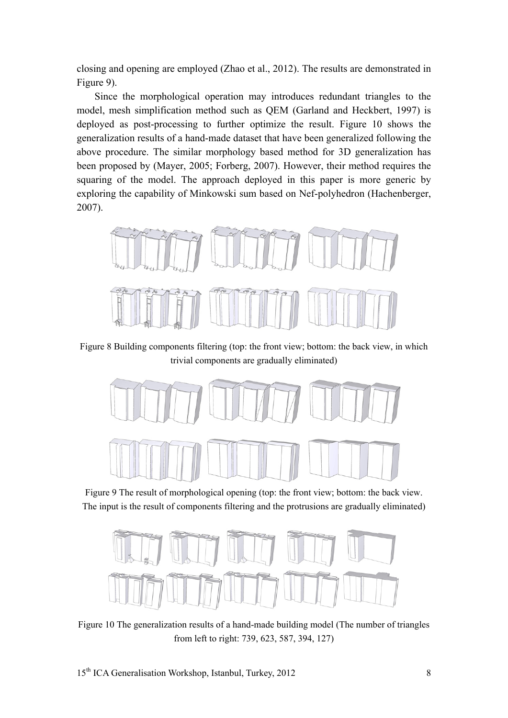closing and opening are employed (Zhao et al., 2012). The results are demonstrated in Figure 9).

 Since the morphological operation may introduces redundant triangles to the model, mesh simplification method such as QEM (Garland and Heckbert, 1997) is deployed as post-processing to further optimize the result. Figure 10 shows the generalization results of a hand-made dataset that have been generalized following the above procedure. The similar morphology based method for 3D generalization has been proposed by (Mayer, 2005; Forberg, 2007). However, their method requires the squaring of the model. The approach deployed in this paper is more generic by exploring the capability of Minkowski sum based on Nef-polyhedron (Hachenberger, 2007).



Figure 8 Building components filtering (top: the front view; bottom: the back view, in which trivial components are gradually eliminated)



Figure 9 The result of morphological opening (top: the front view; bottom: the back view. The input is the result of components filtering and the protrusions are gradually eliminated)



Figure 10 The generalization results of a hand-made building model (The number of triangles from left to right: 739, 623, 587, 394, 127)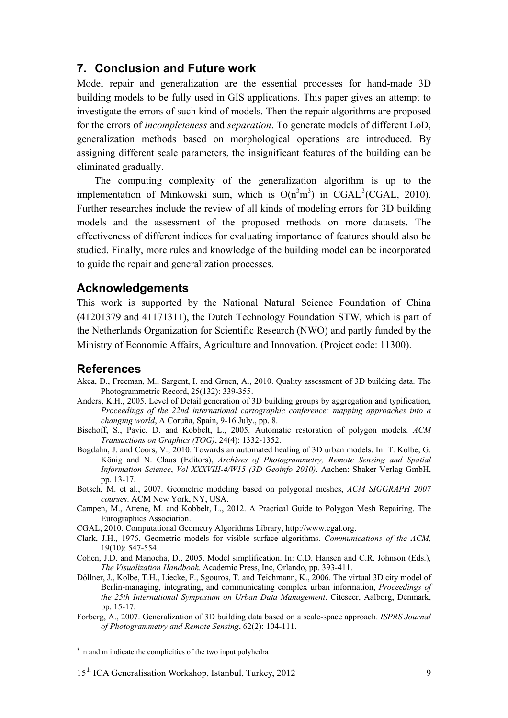#### **7. Conclusion and Future work**

Model repair and generalization are the essential processes for hand-made 3D building models to be fully used in GIS applications. This paper gives an attempt to investigate the errors of such kind of models. Then the repair algorithms are proposed for the errors of *incompleteness* and *separation*. To generate models of different LoD, generalization methods based on morphological operations are introduced. By assigning different scale parameters, the insignificant features of the building can be eliminated gradually.

 The computing complexity of the generalization algorithm is up to the implementation of Minkowski sum, which is  $O(n^3m^3)$  in CGAL<sup>3</sup>(CGAL, 2010). Further researches include the review of all kinds of modeling errors for 3D building models and the assessment of the proposed methods on more datasets. The effectiveness of different indices for evaluating importance of features should also be studied. Finally, more rules and knowledge of the building model can be incorporated to guide the repair and generalization processes.

#### **Acknowledgements**

This work is supported by the National Natural Science Foundation of China (41201379 and 41171311), the Dutch Technology Foundation STW, which is part of the Netherlands Organization for Scientific Research (NWO) and partly funded by the Ministry of Economic Affairs, Agriculture and Innovation. (Project code: 11300).

#### **References**

- Akca, D., Freeman, M., Sargent, I. and Gruen, A., 2010. Quality assessment of 3D building data. The Photogrammetric Record, 25(132): 339-355.
- Anders, K.H., 2005. Level of Detail generation of 3D building groups by aggregation and typification, *Proceedings of the 22nd international cartographic conference: mapping approaches into a changing world*, A Coruña, Spain, 9-16 July., pp. 8.
- Bischoff, S., Pavic, D. and Kobbelt, L., 2005. Automatic restoration of polygon models. *ACM Transactions on Graphics (TOG)*, 24(4): 1332-1352.
- Bogdahn, J. and Coors, V., 2010. Towards an automated healing of 3D urban models. In: T. Kolbe, G. König and N. Claus (Editors), *Archives of Photogrammetry, Remote Sensing and Spatial Information Science*, *Vol XXXVIII-4/W15 (3D Geoinfo 2010)*. Aachen: Shaker Verlag GmbH, pp. 13-17.
- Botsch, M. et al., 2007. Geometric modeling based on polygonal meshes, *ACM SIGGRAPH 2007 courses*. ACM New York, NY, USA.
- Campen, M., Attene, M. and Kobbelt, L., 2012. A Practical Guide to Polygon Mesh Repairing. The Eurographics Association.
- CGAL, 2010. Computational Geometry Algorithms Library, http://www.cgal.org.
- Clark, J.H., 1976. Geometric models for visible surface algorithms. *Communications of the ACM*, 19(10): 547-554.
- Cohen, J.D. and Manocha, D., 2005. Model simplification. In: C.D. Hansen and C.R. Johnson (Eds.), *The Visualization Handbook*. Academic Press, Inc, Orlando, pp. 393-411.
- Döllner, J., Kolbe, T.H., Liecke, F., Sgouros, T. and Teichmann, K., 2006. The virtual 3D city model of Berlin-managing, integrating, and communicating complex urban information, *Proceedings of the 25th International Symposium on Urban Data Management*. Citeseer, Aalborg, Denmark, pp. 15-17.
- Forberg, A., 2007. Generalization of 3D building data based on a scale-space approach. *ISPRS Journal of Photogrammetry and Remote Sensing*, 62(2): 104-111.

 $\frac{3}{3}$  n and m indicate the complicities of the two input polyhedra